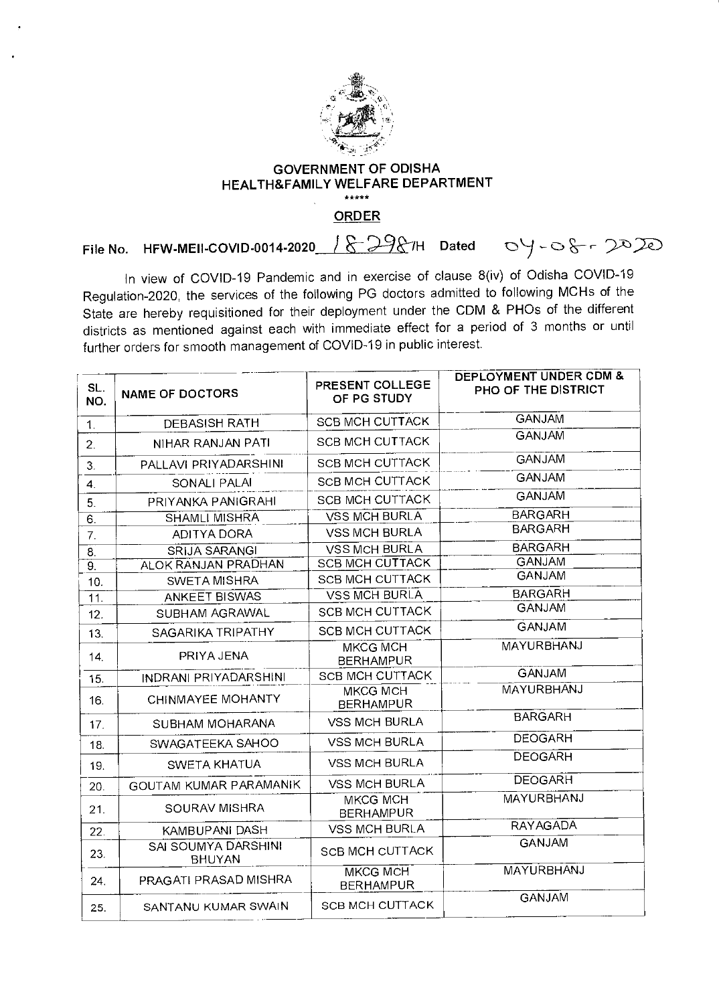

## GOVERNMENT OF ODISHA HEALTH&FAMILY WELFARE DEPARTMENT  $***$

**ORDER** 

File No. HFW-MEII-COVID-0014-2020  $1829$  /H Dated 0  $-$ 0  $-$ 6  $-2020$ 

In view of COVID-19 Pandemic and in exercise of clause 8(iv) of Odisha COVID-19 Regulation-2020, the services of the following PG doctors admitted to following MCHs of the State are hereby requisitioned for their deployment under the CDM & PHOs of the different districts as mentioned against each with immediate effect for a period of 3 months or until further orders for smooth management of COVID-19 in public interest.

| SL.<br>NO.      | <b>NAME OF DOCTORS</b>                      | PRESENT COLLEGE<br>OF PG STUDY      | <b>DEPLOYMENT UNDER CDM &amp;</b><br>PHO OF THE DISTRICT |
|-----------------|---------------------------------------------|-------------------------------------|----------------------------------------------------------|
| $\mathbf{1}$ .  | <b>DEBASISH RATH</b>                        | <b>SCB MCH CUTTACK</b>              | <b>GANJAM</b>                                            |
| 2.              | NIHAR RANJAN PATI                           | <b>SCB MCH CUTTACK</b>              | <b>GANJAM</b>                                            |
| 3.              | PALLAVI PRIYADARSHINI                       | <b>SCB MCH CUTTACK</b>              | <b>GANJAM</b>                                            |
| 4.              | SONALI PALAI                                | <b>SCB MCH CUTTACK</b>              | <b>GANJAM</b>                                            |
| 5.              | PRIYANKA PANIGRAHI                          | <b>SCB MCH CUTTACK</b>              | <b>GANJAM</b>                                            |
| 6.              | <b>SHAMLI MISHRA</b>                        | <b>VSS MCH BURLA</b>                | <b>BARGARH</b>                                           |
| 7.              | <b>ADITYA DORA</b>                          | <b>VSS MCH BURLA</b>                | <b>BARGARH</b>                                           |
| 8.              | <b>SRIJA SARANGI</b>                        | <b>VSS MCH BURLA</b>                | <b>BARGARH</b>                                           |
| 9.              | <b>ALOK RANJAN PRADHAN</b>                  | <b>SCB MCH CUTTACK</b>              | <b>GANJAM</b>                                            |
| 10.             | <b>SWETA MISHRA</b>                         | <b>SCB MCH CUTTACK</b>              | <b>GANJAM</b>                                            |
| 11.             | <b>ANKEET BISWAS</b>                        | <b>VSS MCH BURLA</b>                | <b>BARGARH</b>                                           |
| 12.             | SUBHAM AGRAWAL                              | <b>SCB MCH CUTTACK</b>              | <b>GANJAM</b>                                            |
| 13.             | SAGARIKA TRIPATHY                           | <b>SCB MCH CUTTACK</b>              | <b>GANJAM</b>                                            |
| 14.             | PRIYA JENA                                  | <b>MKCG MCH</b><br><b>BERHAMPUR</b> | <b>MAYURBHANJ</b>                                        |
| 15.             | INDRANI PRIYADARSHINI                       | <b>SCB MCH CUTTACK</b>              | <b>GANJAM</b>                                            |
| 16.             | CHINMAYEE MOHANTY                           | <b>MKCG MCH</b><br><b>BERHAMPUR</b> | <b>MAYURBHANJ</b>                                        |
| 17.             | <b>SUBHAM MOHARANA</b>                      | <b>VSS MCH BURLA</b>                | <b>BARGARH</b>                                           |
| 18.             | SWAGATEEKA SAHOO                            | <b>VSS MCH BURLA</b>                | <b>DEOGARH</b>                                           |
| 19.             | SWETA KHATUA                                | <b>VSS MCH BURLA</b>                | <b>DEOGARH</b>                                           |
| 20 <sub>1</sub> | GOUTAM KUMAR PARAMANIK                      | <b>VSS MCH BURLA</b>                | <b>DEOGARH</b>                                           |
| 21.             | SOURAV MISHRA                               | <b>MKCG MCH</b><br><b>BERHAMPUR</b> | <b>MAYURBHANJ</b>                                        |
| 22.             | KAMBUPANI DASH                              | <b>VSS MCH BURLA</b>                | <b>RAYAGADA</b>                                          |
| 23.             | <b>SAI SOUMYA DARSHINI</b><br><b>BHUYAN</b> | <b>SCB MCH CUTTACK</b>              | <b>GANJAM</b>                                            |
| 24.             | PRAGATI PRASAD MISHRA                       | <b>MKCG MCH</b><br><b>BERHAMPUR</b> | <b>MAYURBHANJ</b>                                        |
| 25.             | SANTANU KUMAR SWAIN                         | <b>SCB MCH CUTTACK</b>              | <b>GANJAM</b>                                            |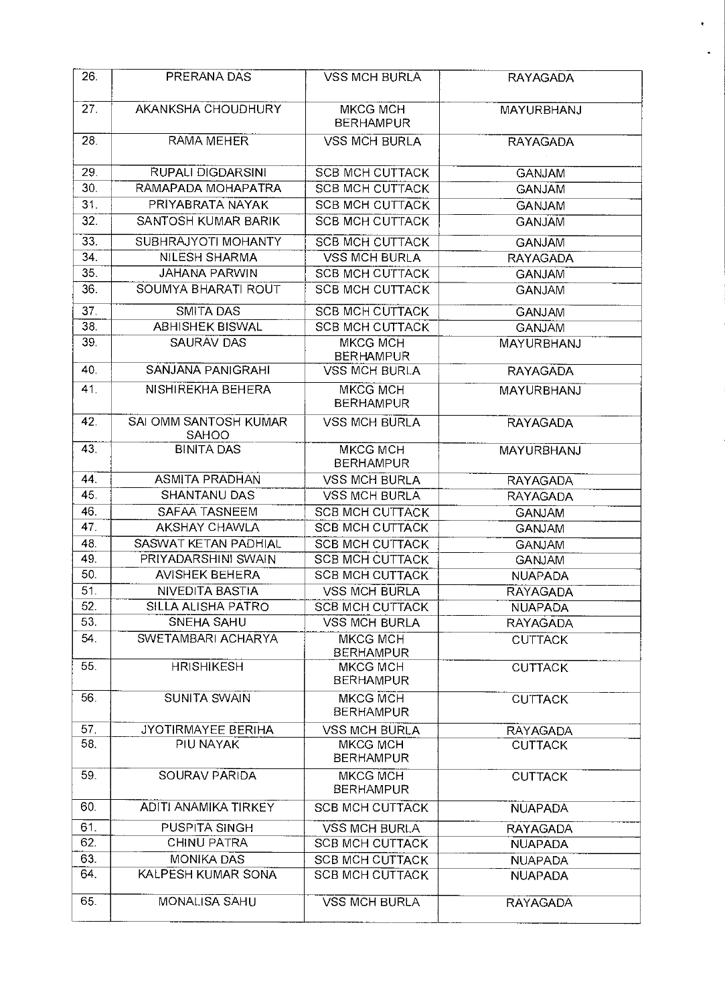| 26.             | PRERANA DAS                           | <b>VSS MCH BURLA</b>                | <b>RAYAGADA</b>   |
|-----------------|---------------------------------------|-------------------------------------|-------------------|
| 27.             | AKANKSHA CHOUDHURY                    | <b>MKCG MCH</b><br><b>BERHAMPUR</b> | MAYURBHANJ        |
| 28.             | <b>RAMA MEHER</b>                     | <b>VSS MCH BURLA</b>                | <b>RAYAGADA</b>   |
| 29.             | <b>RUPALI DIGDARSINI</b>              | <b>SCB MCH CUTTACK</b>              | <b>GANJAM</b>     |
| 30.             | RAMAPADA MOHAPATRA                    | <b>SCB MCH CUTTACK</b>              | <b>GANJAM</b>     |
| 31.             | PRIYABRATA NAYAK                      | <b>SCB MCH CUTTACK</b>              | <b>GANJAM</b>     |
| 32.             | SANTOSH KUMAR BARIK                   | <b>SCB MCH CUTTACK</b>              | <b>GANJAM</b>     |
| 33.             | SUBHRAJYOTI MOHANTY                   | <b>SCB MCH CUTTACK</b>              | <b>GANJAM</b>     |
| 34.             | NILESH SHARMA                         | <b>VSS MCH BURLA</b>                | <b>RAYAGADA</b>   |
| 35.             | <b>JAHANA PARWIN</b>                  | <b>SCB MCH CUTTACK</b>              | <b>GANJAM</b>     |
| 36.             | SOUMYA BHARATI ROUT                   | <b>SCB MCH CUTTACK</b>              | <b>GANJAM</b>     |
| 37 <sub>1</sub> | SMITA DAS                             | <b>SCB MCH CUTTACK</b>              | <b>GANJAM</b>     |
| 38.             | <b>ABHISHEK BISWAL</b>                | <b>SCB MCH CUTTACK</b>              | <b>GANJAM</b>     |
| 39.             | <b>SAURAV DAS</b>                     | <b>MKCG MCH</b>                     | MAYURBHANJ        |
|                 |                                       | <b>BERHAMPUR</b>                    |                   |
| 40.             | SANJANA PANIGRAHI                     | <b>VSS MCH BURLA</b>                | <b>RAYAGADA</b>   |
| 41.             | NISHIREKHA BEHERA                     | <b>MKCG MCH</b><br><b>BERHAMPUR</b> | <b>MAYURBHANJ</b> |
| 42.             | SAI OMM SANTOSH KUMAR<br><b>SAHOO</b> | <b>VSS MCH BURLA</b>                | <b>RAYAGADA</b>   |
| 43.             | <b>BINITA DAS</b>                     | <b>MKCG MCH</b><br><b>BERHAMPUR</b> | MAYURBHANJ        |
| 44.             | <b>ASMITA PRADHAN</b>                 | <b>VSS MCH BURLA</b>                | <b>RAYAGADA</b>   |
| 45.             | SHANTANU DAS                          | <b>VSS MCH BURLA</b>                | <b>RAYAGADA</b>   |
| 46.             | SAFAA TASNEEM                         | <b>SCB MCH CUTTACK</b>              | <b>GANJAM</b>     |
| 47.             | <b>AKSHAY CHAWLA</b>                  | <b>SCB MCH CUTTACK</b>              | <b>GANJAM</b>     |
| 48.             | SASWAT KETAN PADHIAL                  | <b>SCB MCH CUTTACK</b>              | <b>GANJAM</b>     |
| 49.             | PRIYADARSHINI SWAIN                   | <b>SCB MCH CUTTACK</b>              | <b>GANJAM</b>     |
| 50.             | <b>AVISHEK BEHERA</b>                 | <b>SCB MCH CUTTACK</b>              | <b>NUAPADA</b>    |
| 51.             | NIVEDITA BASTIA                       | <b>VSS MCH BURLA</b>                | <b>RAYAGADA</b>   |
| 52.             | <b>SILLA ALISHA PATRO</b>             | <b>SCB MCH CUTTACK</b>              | <b>NUAPADA</b>    |
| 53.             | SNEHA SAHU                            | <b>VSS MCH BURLA</b>                | <b>RAYAGADA</b>   |
| 54.             | SWETAMBARI ACHARYA                    | <b>MKCG MCH</b><br><b>BERHAMPUR</b> | <b>CUTTACK</b>    |
| 55.             | <b>HRISHIKESH</b>                     | MKCG MCH<br><b>BERHAMPUR</b>        | <b>CUTTACK</b>    |
| 56.             | <b>SUNITA SWAIN</b>                   | <b>MKCG MCH</b><br><b>BERHAMPUR</b> | <b>CUTTACK</b>    |
| 57.             | JYOTIRMAYEE BERIHA                    | <b>VSS MCH BURLA</b>                | <b>RAYAGADA</b>   |
| 58.             | PIU NAYAK                             | MKCG MCH<br><b>BERHAMPUR</b>        | <b>CUTTACK</b>    |
| 59.             | SOURAV PARIDA                         | MKCG MCH<br><b>BERHAMPUR</b>        | <b>CUTTACK</b>    |
| 60.             | ADITI ANAMIKA TIRKEY                  | <b>SCB MCH CUTTACK</b>              | <b>NUAPADA</b>    |
| 61.             | PUSPITA SINGH                         | <b>VSS MCH BURLA</b>                | RAYAGADA          |
| 62.             | CHINU PATRA                           | <b>SCB MCH CUTTACK</b>              | <b>NUAPADA</b>    |
| 63.             | <b>MONIKA DAS</b>                     | <b>SCB MCH CUTTACK</b>              | <b>NUAPADA</b>    |
| 64.             | KALPESH KUMAR SONA                    | <b>SCB MCH CUTTACK</b>              | <b>NUAPADA</b>    |
| 65.             | <b>MONALISA SAHU</b>                  | <b>VSS MCH BURLA</b>                | <b>RAYAGADA</b>   |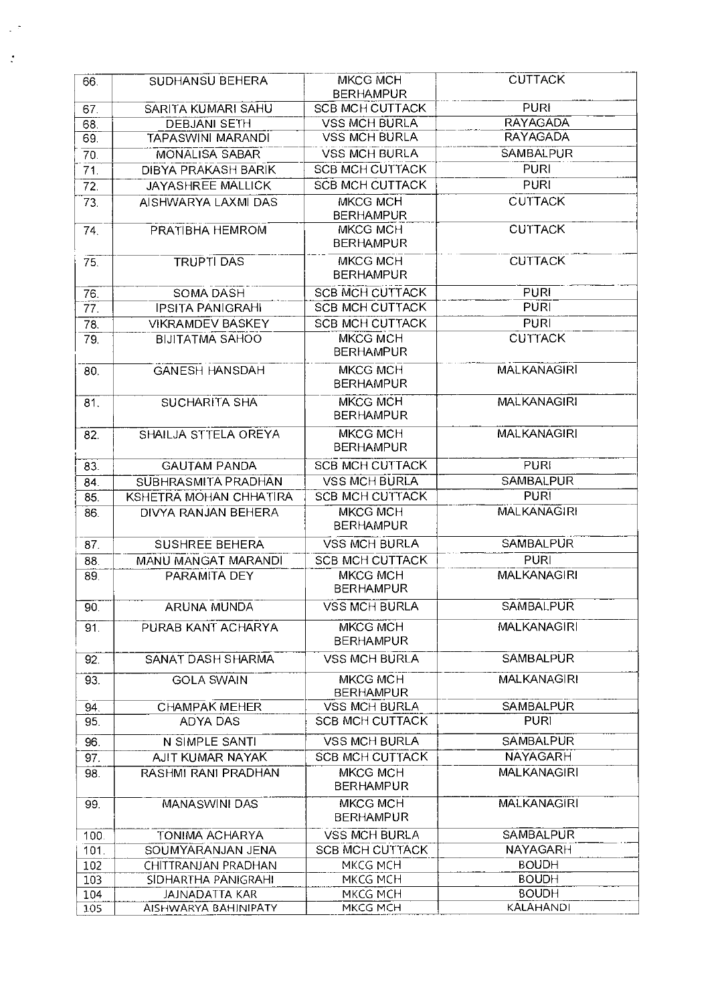| 66.        | SUDHANSU BEHERA                    | <b>MKCG MCH</b><br><b>BERHAMPUR</b> | <b>CUTTACK</b>                   |
|------------|------------------------------------|-------------------------------------|----------------------------------|
| 67.        | SARITA KUMARI SAHU                 | <b>SCB MCH CUTTACK</b>              | <b>PURI</b>                      |
| 68.        | <b>DEBJANI SETH</b>                | <b>VSS MCH BURLA</b>                | <b>RAYAGADA</b>                  |
| 69.        | <b>TAPASWINI MARANDI</b>           | <b>VSS MCH BURLA</b>                | <b>RAYAGADA</b>                  |
| 70.        | <b>MONALISA SABAR</b>              | <b>VSS MCH BURLA</b>                | <b>SAMBALPUR</b>                 |
| 71.        | <b>DIBYA PRAKASH BARIK</b>         | <b>SCB MCH CUTTACK</b>              | <b>PURI</b>                      |
| 72.        | JAYASHREE MALLICK                  | <b>SCB MCH CUTTACK</b>              | <b>PURI</b>                      |
| 73.        | AISHWARYA LAXMI DAS                | MKCG MCH                            | <b>CUTTACK</b>                   |
|            |                                    | <b>BERHAMPUR</b>                    |                                  |
| 74.        | PRATIBHA HEMROM                    | MKCG MCH<br><b>BERHAMPUR</b>        | <b>CUTTACK</b>                   |
| 75.        | <b>TRUPTI DAS</b>                  | <b>MKCG MCH</b><br><b>BERHAMPUR</b> | <b>CUTTACK</b>                   |
| 76.        | SOMA DASH                          | <b>SCB MCH CUTTACK</b>              | <b>PURI</b>                      |
| 77.        | <b>IPSITA PANIGRAHI</b>            | <b>SCB MCH CUTTACK</b>              | <b>PURI</b>                      |
| 78.        | <b>VIKRAMDEV BASKEY</b>            | <b>SCB MCH CUTTACK</b>              | <b>PURI</b>                      |
| 79.        | <b>BIJITATMA SAHOO</b>             | <b>MKCG MCH</b><br><b>BERHAMPUR</b> | <b>CUTTACK</b>                   |
| 80.        | <b>GANESH HANSDAH</b>              | <b>MKCG MCH</b><br><b>BERHAMPUR</b> | <b>MALKANAGIRI</b>               |
| 81.        | <b>SUCHARITA SHA</b>               | <b>MKCG MCH</b><br><b>BERHAMPUR</b> | <b>MALKANAGIRI</b>               |
| 82.        | SHAILJA STTELA OREYA               | <b>MKCG MCH</b><br><b>BERHAMPUR</b> | <b>MALKANAGIRI</b>               |
| 83.        | <b>GAUTAM PANDA</b>                | <b>SCB MCH CUTTACK</b>              | <b>PURI</b>                      |
| 84.        | SUBHRASMITA PRADHAN                | <b>VSS MCH BURLA</b>                | <b>SAMBALPUR</b>                 |
| 85.        | KSHETRA MOHAN CHHATIRA             | <b>SCB MCH CUTTACK</b>              | <b>PURI</b>                      |
| 86.        | DIVYA RANJAN BEHERA                | <b>MKCG MCH</b><br><b>BERHAMPUR</b> | <b>MALKANAGIRI</b>               |
| 87.        | SUSHREE BEHERA                     | <b>VSS MCH BURLA</b>                | SAMBALPUR                        |
| 88.        | <b>MANU MANGAT MARANDI</b>         | <b>SCB MCH CUTTACK</b>              | <b>PURI</b>                      |
| 89.        | PARAMITA DEY                       | <b>MKCG MCH</b><br><b>BERHAMPUR</b> | <b>MALKANAGIRI</b>               |
| 90.        | <b>ARUNA MUNDA</b>                 | <b>VSS MCH BURLA</b>                | SAMBALPUR                        |
| 91.        | PURAB KANT ACHARYA                 | MKCG MCH<br><b>BERHAMPUR</b>        | <b>MALKANAGIRI</b>               |
| 92.        | SANAT DASH SHARMA                  | <b>VSS MCH BURLA</b>                | <b>SAMBALPUR</b>                 |
| 93.        | <b>GOLA SWAIN</b>                  | <b>MKCG MCH</b><br><b>BERHAMPUR</b> | <b>MALKANAGIRI</b>               |
| 94.        | <b>CHAMPAK MEHER</b>               | VSS MCH BURLA                       | <b>SAMBALPUR</b>                 |
| 95.        | ADYA DAS                           | <b>SCB MCH CUTTACK</b>              | <b>PURI</b>                      |
|            |                                    | <b>VSS MCH BURLA</b>                | <b>SAMBALPUR</b>                 |
| 96.        | N SIMPLE SANTI<br>AJIT KUMAR NAYAK | <b>SCB MCH CUTTACK</b>              | <b>NAYAGARH</b>                  |
| 97.<br>98. | RASHMI RANI PRADHAN                | MKCG MCH                            | <b>MALKANAGIRI</b>               |
|            |                                    | <b>BERHAMPUR</b>                    |                                  |
| 99.        | <b>MANASWINI DAS</b>               | MKCG MCH<br><b>BERHAMPUR</b>        | <b>MALKANAGIRI</b>               |
| 100.       | <b>TONIMA ACHARYA</b>              | <b>VSS MCH BURLA</b>                | <b>SAMBALPUR</b>                 |
| 101.       | SOUMYARANJAN JENA                  | <b>SCB MCH CUTTACK</b>              | <b>NAYAGARH</b>                  |
| 102        | CHITTRANJAN PRADHAN                | MKCG MCH                            | <b>BOUDH</b>                     |
| 103        | SIDHARTHA PANIGRAHI                | MKCG MCH                            | <b>BOUDH</b>                     |
| 104        | JAJNADATTA KAR                     | MKCG MCH                            | <b>BOUDH</b><br><b>KALAHANDI</b> |
| 105        | AISHWARYA BAHINIPATY               | MKCG MCH                            |                                  |

 $\ddot{\cdot}$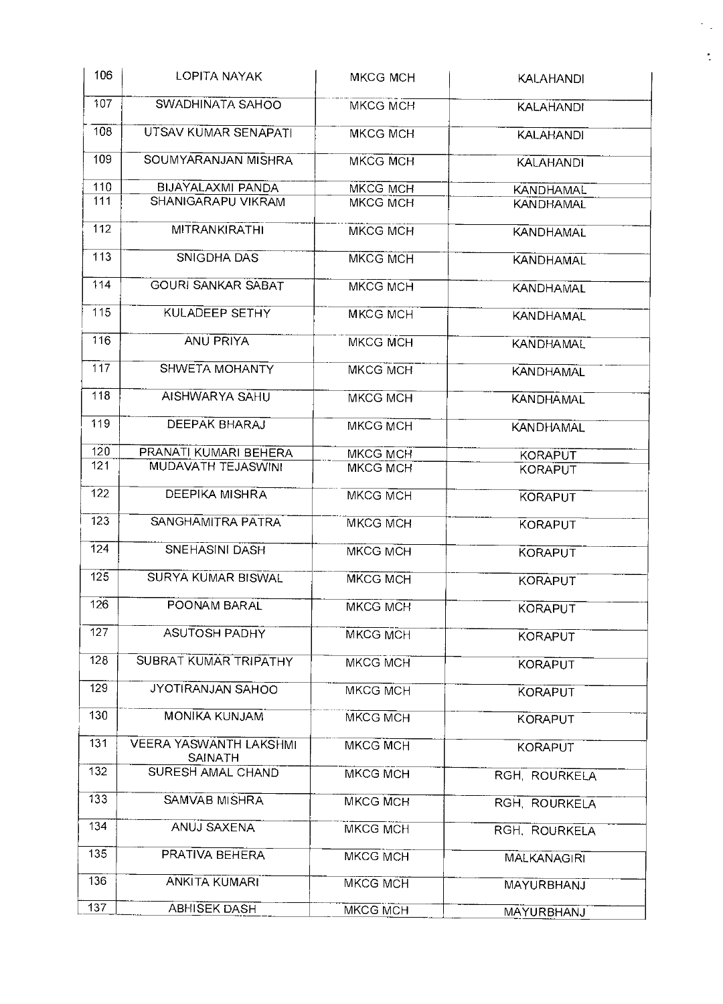| 106              | LOPITA NAYAK                                    | <b>MKCG MCH</b> | <b>KALAHANDI</b>   |
|------------------|-------------------------------------------------|-----------------|--------------------|
| 107              | SWADHINATA SAHOO                                | MKCG MCH        | <b>KALAHANDI</b>   |
| 108              | UTSAV KUMAR SENAPATI                            | <b>MKCG MCH</b> | <b>KALAHANDI</b>   |
| 109              | SOUMYARANJAN MISHRA                             | <b>MKCG MCH</b> | <b>KALAHANDI</b>   |
| 110              | BIJAYALAXMI PANDA                               | MKCG MCH        | <b>KANDHAMAL</b>   |
| 111              | SHANIGARAPU VIKRAM                              | MKCG MCH        | <b>KANDHAMAL</b>   |
|                  |                                                 |                 |                    |
| 112              | <b>MITRANKIRATHI</b>                            | MKCG MCH        | <b>KANDHAMAL</b>   |
| 113              | SNIGDHA DAS                                     | <b>MKCG MCH</b> | KANDHAMAL          |
| 114              | <b>GOURI SANKAR SABAT</b>                       | MKCG MCH        | <b>KANDHAMAL</b>   |
| 115              | KULADEEP SETHY                                  | <b>MKCG MCH</b> | <b>KANDHAMAL</b>   |
| 116              | <b>ANU PRIYA</b>                                | MKCG MCH        | <b>KANDHAMAL</b>   |
| 117              | SHWETA MOHANTY                                  | <b>MKCG MCH</b> | <b>KANDHAMAL</b>   |
| 118              | AISHWARYA SAHU                                  | <b>MKCG MCH</b> | <b>KANDHAMAL</b>   |
| 119              | DEEPAK BHARAJ                                   | MKCG MCH        | <b>KANDHAMAL</b>   |
| 120              | PRANATI KUMARI BEHERA                           | <b>MKCG MCH</b> | <b>KORAPUT</b>     |
| 121              | MUDAVATH TEJASWINI                              | <b>MKCG MCH</b> | <b>KORAPUT</b>     |
|                  |                                                 |                 |                    |
| 122              | DEEPIKA MISHRA                                  | <b>MKCG MCH</b> | <b>KORAPUT</b>     |
| $\overline{123}$ | SANGHAMITRA PATRA                               | <b>MKCG MCH</b> | KORAPUT            |
| 124              | <b>SNEHASINI DASH</b>                           | MKCG MCH        | KORAPUT            |
| 125              | <b>SURYA KUMAR BISWAL</b>                       | <b>MKCG MCH</b> | <b>KORAPUT</b>     |
| 126              | POONAM BARAL                                    | <b>MKCG MCH</b> | <b>KORAPUT</b>     |
| 127              | <b>ASUTOSH PADHY</b>                            | MKCG MCH        | <b>KORAPUT</b>     |
| 128              | SUBRAT KUMAR TRIPATHY                           | MKCG MCH        | KORAPUT            |
| 129              | <b>JYOTIRANJAN SAHOO</b>                        | MKCG MCH        | KORAPUT            |
| 130              | <b>MONIKA KUNJAM</b>                            | MKCG MCH        | <b>KORAPUT</b>     |
| 131              | <b>VEERA YASWANTH LAKSHMI</b><br><b>SAINATH</b> | MKCG MCH        | <b>KORAPUT</b>     |
| 132              | SURESH AMAL CHAND                               | <b>MKCG MCH</b> | RGH, ROURKELA      |
| 133              | SAMVAB MISHRA                                   | <b>MKCG MCH</b> | RGH, ROURKELA      |
| 134              | ANUJ SAXENA                                     | MKCG MCH        | RGH, ROURKELA      |
| 135              | PRATIVA BEHERA                                  | MKCG MCH        | <b>MALKANAGIRI</b> |
| 136              | ANKITA KUMARI                                   | <b>MKCG MCH</b> | MAYURBHANJ         |
| 137              | <b>ABHISEK DASH</b>                             | <b>MKCG MCH</b> | MAYURBHANJ         |

ţ.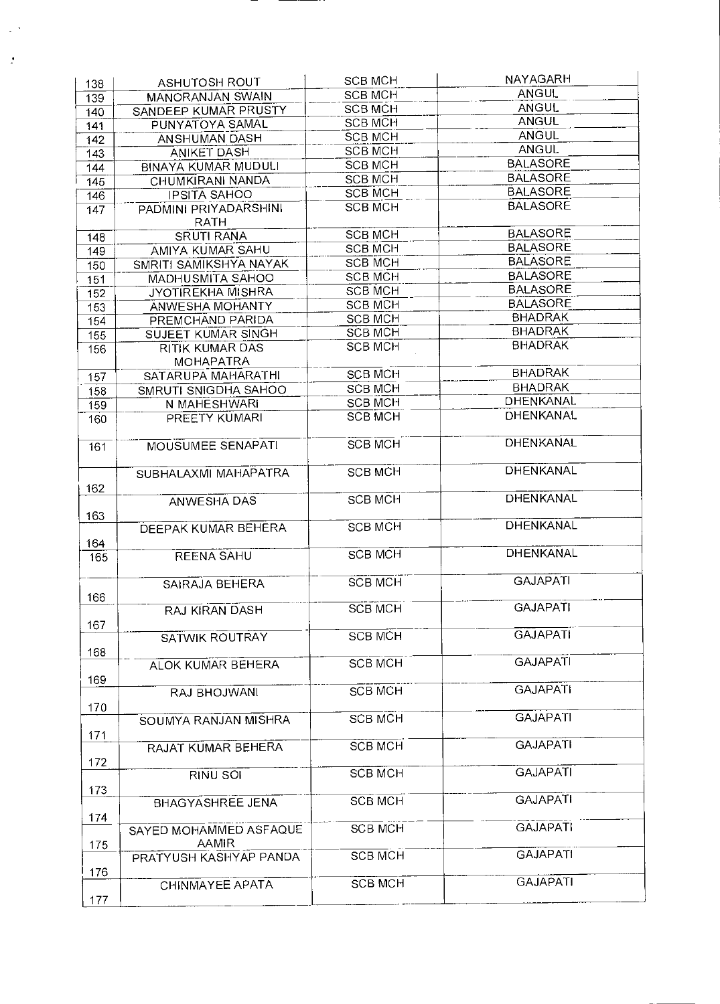| 138 | ASHUTOSH ROUT                              | <b>SCB MCH</b> | <b>NAYAGARH</b>  |
|-----|--------------------------------------------|----------------|------------------|
| 139 | <b>MANORANJAN SWAIN</b>                    | <b>SCB MCH</b> | <b>ANGUL</b>     |
| 140 | SANDEEP KUMAR PRUSTY                       | <b>SCB MCH</b> | <b>ANGUL</b>     |
| 141 | PUNYATOYA SAMAL                            | <b>SCB MCH</b> | <b>ANGUL</b>     |
| 142 | ANSHUMAN DASH                              | <b>SCB MCH</b> | <b>ANGUL</b>     |
| 143 | <b>ANIKET DASH</b>                         | <b>SCB MCH</b> | <b>ANGUL</b>     |
| 144 | <b>BINAYA KUMAR MUDULI</b>                 | <b>SCB MCH</b> | <b>BALASORE</b>  |
| 145 | CHUMKIRANI NANDA                           | <b>SCB MCH</b> | <b>BALASORE</b>  |
| 146 | <b>IPSITA SAHOO</b>                        | <b>SCB MCH</b> | <b>BALASORE</b>  |
| 147 | PADMINI PRIYADARSHINI<br><b>RATH</b>       | <b>SCB MCH</b> | <b>BALASORE</b>  |
| 148 | <b>SRUTI RANA</b>                          | <b>SCB MCH</b> | <b>BALASORE</b>  |
| 149 | AMIYA KUMAR SAHU                           | <b>SCB MCH</b> | <b>BALASORE</b>  |
| 150 | SMRITI SAMIKSHYA NAYAK                     | <b>SCB MCH</b> | <b>BALASORE</b>  |
| 151 | <b>MADHUSMITA SAHOO</b>                    | <b>SCB MCH</b> | <b>BALASORE</b>  |
| 152 | <b>JYOTIREKHA MISHRA</b>                   | <b>SCB MCH</b> | <b>BALASORE</b>  |
| 153 | <b>ANWESHA MOHANTY</b>                     | <b>SCB MCH</b> | <b>BALASORE</b>  |
| 154 | PREMCHAND PARIDA                           | <b>SCB MCH</b> | <b>BHADRAK</b>   |
| 155 | SUJEET KUMAR SINGH                         | <b>SCB MCH</b> | <b>BHADRAK</b>   |
| 156 | <b>RITIK KUMAR DAS</b><br><b>MOHAPATRA</b> | <b>SCB MCH</b> | <b>BHADRAK</b>   |
|     | SATARUPA MAHARATHI                         | <b>SCB MCH</b> | <b>BHADRAK</b>   |
| 157 | SMRUTI SNIGDHA SAHOO                       | <b>SCB MCH</b> | <b>BHADRAK</b>   |
| 158 | N MAHESHWARI                               | <b>SCB MCH</b> | <b>DHENKANAL</b> |
| 159 | PREETY KUMARI                              | <b>SCB MCH</b> | <b>DHENKANAL</b> |
| 160 |                                            |                |                  |
| 161 | MOUSUMEE SENAPATI                          | <b>SCB MCH</b> | <b>DHENKANAL</b> |
| 162 | SUBHALAXMI MAHAPATRA                       | <b>SCB MCH</b> | DHENKANAL        |
|     | <b>ANWESHA DAS</b>                         | <b>SCB MCH</b> | DHENKANAL        |
| 163 |                                            |                |                  |
|     | <b>DEEPAK KUMAR BEHERA</b>                 | <b>SCB MCH</b> | DHENKANAL        |
| 164 | <b>REENA SAHU</b>                          | <b>SCB MCH</b> | DHENKANAL        |
| 165 |                                            |                |                  |
|     | <b>SAIRAJA BEHERA</b>                      | <b>SCB MCH</b> | <b>GAJAPATI</b>  |
| 166 |                                            |                |                  |
|     | RAJ KIRAN DASH                             | <b>SCB MCH</b> | <b>GAJAPATI</b>  |
| 167 |                                            |                | <b>GAJAPATI</b>  |
|     | <b>SATWIK ROUTRAY</b>                      | <b>SCB MCH</b> |                  |
| 168 | ALOK KUMAR BEHERA                          | <b>SCB MCH</b> | <b>GAJAPATI</b>  |
|     |                                            |                |                  |
| 169 | RAJ BHOJWANI                               | <b>SCB MCH</b> | <b>GAJAPATI</b>  |
| 170 |                                            |                |                  |
|     | SOUMYA RANJAN MISHRA                       | <b>SCB MCH</b> | <b>GAJAPATI</b>  |
| 171 |                                            |                |                  |
|     | RAJAT KUMAR BEHERA                         | <b>SCB MCH</b> | <b>GAJAPATI</b>  |
| 172 |                                            |                |                  |
|     | RINU SOI                                   | <b>SCB MCH</b> | <b>GAJAPATI</b>  |
| 173 |                                            |                |                  |
|     | <b>BHAGYASHREE JENA</b>                    | <b>SCB MCH</b> | <b>GAJAPATI</b>  |
| 174 |                                            |                |                  |
|     | SAYED MOHAMMED ASFAQUE                     | <b>SCB MCH</b> | <b>GAJAPATI</b>  |
| 175 | <b>AAMIR</b>                               |                |                  |
|     | PRATYUSH KASHYAP PANDA                     | <b>SCB MCH</b> | <b>GAJAPATI</b>  |
| 176 | CHINMAYEE APATA                            | <b>SCB MCH</b> | <b>GAJAPATI</b>  |
| 177 |                                            |                |                  |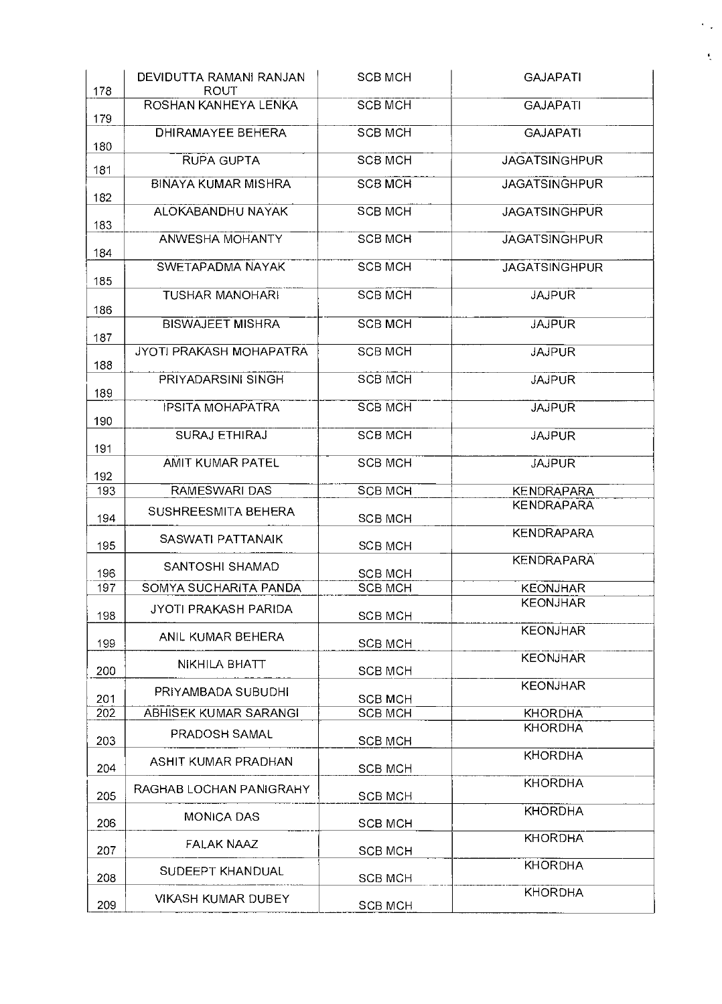| 178 | DEVIDUTTA RAMANI RANJAN<br>ROUT | <b>SCB MCH</b> | <b>GAJAPATI</b>      |
|-----|---------------------------------|----------------|----------------------|
| 179 | ROSHAN KANHEYA LENKA            | <b>SCB MCH</b> | <b>GAJAPATI</b>      |
| 180 | <b>DHIRAMAYEE BEHERA</b>        | <b>SCB MCH</b> | <b>GAJAPATI</b>      |
| 181 | <b>RUPA GUPTA</b>               | <b>SCB MCH</b> | <b>JAGATSINGHPUR</b> |
| 182 | <b>BINAYA KUMAR MISHRA</b>      | <b>SCB MCH</b> | <b>JAGATSINGHPUR</b> |
| 183 | ALOKABANDHU NAYAK               | <b>SCB MCH</b> | <b>JAGATSINGHPUR</b> |
| 184 | ANWESHA MOHANTY                 | <b>SCB MCH</b> | <b>JAGATSINGHPUR</b> |
| 185 | SWETAPADMA NAYAK                | <b>SCB MCH</b> | <b>JAGATSINGHPUR</b> |
| 186 | <b>TUSHAR MANOHARI</b>          | <b>SCB MCH</b> | <b>JAJPUR</b>        |
| 187 | <b>BISWAJEET MISHRA</b>         | <b>SCB MCH</b> | <b>JAJPUR</b>        |
| 188 | JYOTI PRAKASH MOHAPATRA         | <b>SCB MCH</b> | <b>JAJPUR</b>        |
| 189 | PRIYADARSINI SINGH              | <b>SCB MCH</b> | <b>JAJPUR</b>        |
| 190 | <b>IPSITA MOHAPATRA</b>         | <b>SCB MCH</b> | <b>JAJPUR</b>        |
| 191 | SURAJ ETHIRAJ                   | <b>SCB MCH</b> | <b>JAJPUR</b>        |
| 192 | AMIT KUMAR PATEL                | <b>SCB MCH</b> | <b>JAJPUR</b>        |
| 193 | RAMESWARI DAS                   | <b>SCB MCH</b> | <b>KENDRAPARA</b>    |
| 194 | SUSHREESMITA BEHERA             | <b>SCB MCH</b> | <b>KENDRAPARA</b>    |
| 195 | SASWATI PATTANAIK               | <b>SCB MCH</b> | <b>KENDRAPARA</b>    |
| 196 | SANTOSHI SHAMAD                 | <b>SCB MCH</b> | <b>KENDRAPARA</b>    |
| 197 | SOMYA SUCHARITA PANDA           | <b>SCB MCH</b> | <b>KEONJHAR</b>      |
| 198 | JYOTI PRAKASH PARIDA            | SCB MCH        | <b>KEONJHAR</b>      |
| 199 | ANIL KUMAR BEHERA               | <b>SCB MCH</b> | <b>KEONJHAR</b>      |
| 200 | NIKHILA BHATT                   | SCB MCH        | <b>KEONJHAR</b>      |
| 201 | PRIYAMBADA SUBUDHI              | <b>SCB MCH</b> | <b>KEONJHAR</b>      |
| 202 | ABHISEK KUMAR SARANGI           | <b>SCB MCH</b> | <b>KHORDHA</b>       |
| 203 | PRADOSH SAMAL                   | <b>SCB MCH</b> | <b>KHORDHA</b>       |
| 204 | ASHIT KUMAR PRADHAN             | <b>SCB MCH</b> | <b>KHORDHA</b>       |
| 205 | RAGHAB LOCHAN PANIGRAHY         | <b>SCB MCH</b> | <b>KHORDHA</b>       |
| 206 | <b>MONICA DAS</b>               | <b>SCB MCH</b> | <b>KHORDHA</b>       |
| 207 | <b>FALAK NAAZ</b>               | <b>SCB MCH</b> | <b>KHORDHA</b>       |
| 208 | SUDEEPT KHANDUAL                | <b>SCB MCH</b> | <b>KHORDHA</b>       |
| 209 | <b>VIKASH KUMAR DUBEY</b>       | <b>SCB MCH</b> | <b>KHORDHA</b>       |

 $\epsilon_{\rm{th}}$ 

 $\tilde{\zeta}$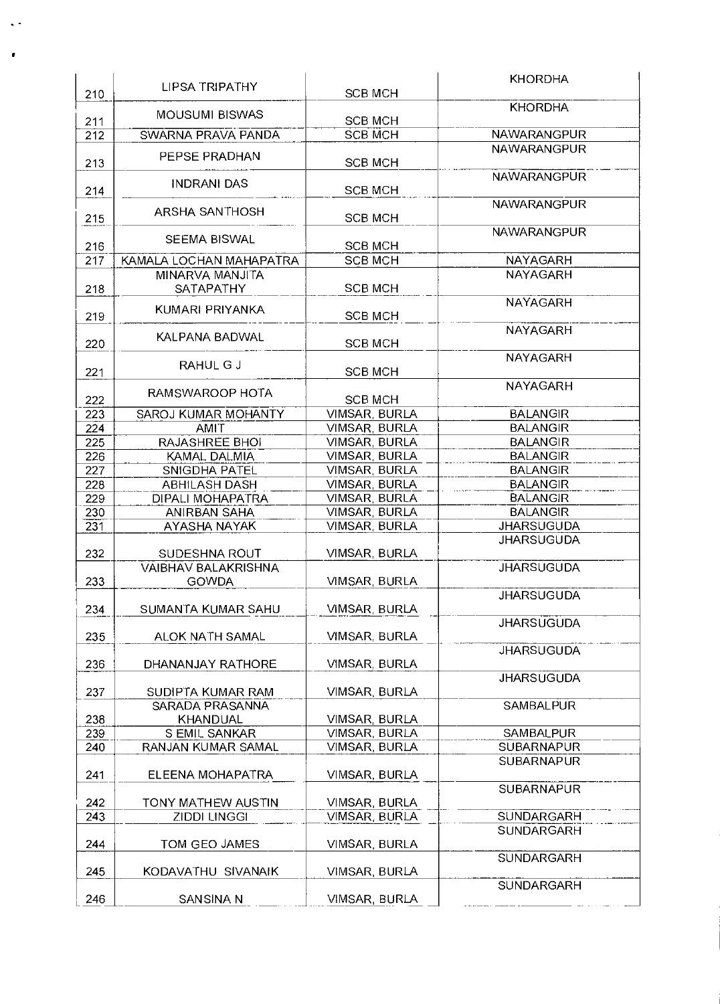|     | LIPSA TRIPATHY             |                      | <b>KHORDHA</b>                  |
|-----|----------------------------|----------------------|---------------------------------|
| 210 |                            | <b>SCB MCH</b>       |                                 |
| 211 | <b>MOUSUMI BISWAS</b>      | <b>SCB MCH</b>       | <b>KHORDHA</b>                  |
| 212 | SWARNA PRAVA PANDA         | <b>SCB MCH</b>       | <b>NAWARANGPUR</b>              |
|     | PEPSE PRADHAN              |                      | NAWARANGPUR                     |
| 213 |                            | <b>SCB MCH</b>       | <b>NAWARANGPUR</b>              |
| 214 | <b>INDRANI DAS</b>         | <b>SCB MCH</b>       |                                 |
|     | ARSHA SANTHOSH             |                      | <b>NAWARANGPUR</b>              |
| 215 |                            | <b>SCB MCH</b>       |                                 |
| 216 | <b>SEEMA BISWAL</b>        | <b>SCB MCH</b>       | NAWARANGPUR                     |
| 217 | KAMALA LOCHAN MAHAPATRA    | <b>SCB MCH</b>       | NAYAGARH                        |
|     | MINARVA MANJITA            |                      | <b>NAYAGARH</b>                 |
| 218 | SATAPATHY                  | <b>SCB MCH</b>       |                                 |
|     | KUMARI PRIYANKA            |                      | <b>NAYAGARH</b>                 |
| 219 |                            | <b>SCB MCH</b>       |                                 |
| 220 | KALPANA BADWAL             | <b>SCB MCH</b>       | <b>NAYAGARH</b>                 |
|     | RAHUL G J                  |                      | <b>NAYAGARH</b>                 |
| 221 |                            | <b>SCB MCH</b>       |                                 |
| 222 | RAMSWAROOP HOTA            | <b>SCB MCH</b>       | <b>NAYAGARH</b>                 |
| 223 | SAROJ KUMAR MOHANTY        | VIMSAR, BURLA        | <b>BALANGIR</b>                 |
| 224 | AMIT                       | VIMSAR, BURLA        | <b>BALANGIR</b>                 |
| 225 | RAJASHREE BHOI             | VIMSAR, BURLA        | <b>BALANGIR</b>                 |
| 226 | KAMAL DALMIA               | VIMSAR, BURLA        | <b>BALANGIR</b>                 |
| 227 | SNIGDHA PATEL              | VIMSAR, BURLA        | <b>BALANGIR</b>                 |
| 228 | <b>ABHILASH DASH</b>       | VIMSAR, BURLA        | <b>BALANGIR</b>                 |
| 229 | DIPALI MOHAPATRA           | VIMSAR, BURLA        | <b>BALANGIR</b>                 |
| 230 | ANIRBAN SAHA               | VIMSAR, BURLA        | <b>BALANGIR</b>                 |
| 231 | AYASHA NAYAK               | VIMSAR, BURLA        | <b>JHARSUGUDA</b>               |
|     |                            |                      | <b>JHARSUGUDA</b>               |
| 232 | SUDESHNA ROUT              | VIMSAR, BURLA        |                                 |
|     | <b>VAIBHAV BALAKRISHNA</b> |                      | <b>JHARSUGUDA</b>               |
| 233 | <b>GOWDA</b>               | VIMSAR, BURLA        |                                 |
|     |                            |                      | <b>JHARSUGUDA</b>               |
| 234 | SUMANTA KUMAR SAHU         | VIMSAR, BURLA        |                                 |
|     |                            |                      | <b>JHARSUGUDA</b>               |
| 235 | ALOK NATH SAMAL            | VIMSAR, BURLA        |                                 |
| 236 | DHANANJAY RATHORE          | VIMSAR, BURLA        | <b>JHARSUGUDA</b>               |
|     |                            |                      | <b>JHARSUGUDA</b>               |
| 237 | SUDIPTA KUMAR RAM          | VIMSAR, BURLA        |                                 |
|     | SARADA PRASANNA            |                      | <b>SAMBALPUR</b>                |
| 238 | KHANDUAL                   | VIMSAR, BURLA        |                                 |
| 239 | <b>SEMIL SANKAR</b>        | <b>VIMSAR, BURLA</b> | SAMBALPUR                       |
| 240 | RANJAN KUMAR SAMAL         | VIMSAR, BURLA        | <b>SUBARNAPUR</b>               |
|     |                            |                      | <b>SUBARNAPUR</b>               |
| 241 | ELEENA MOHAPATRA           | VIMSAR, BURLA        |                                 |
|     |                            |                      | <b>SUBARNAPUR</b>               |
| 242 | TONY MATHEW AUSTIN         | VIMSAR, BURLA        |                                 |
| 243 | <b>ZIDDI LINGGI</b>        | VIMSAR, BURLA        | SUNDARGARH<br><b>SUNDARGARH</b> |
| 244 | TOM GEO JAMES              | VIMSAR, BURLA        |                                 |
|     |                            |                      | <b>SUNDARGARH</b>               |
| 245 | KODAVATHU SIVANAIK         | VIMSAR, BURLA        |                                 |
|     |                            |                      | <b>SUNDARGARH</b>               |
| 246 | SANSINA N                  | VIMSAR, BURLA        |                                 |